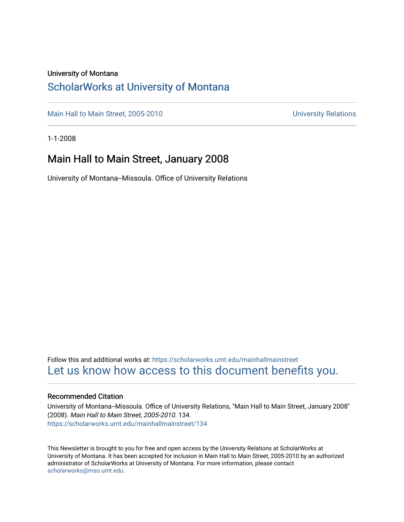#### University of Montana

## [ScholarWorks at University of Montana](https://scholarworks.umt.edu/)

[Main Hall to Main Street, 2005-2010](https://scholarworks.umt.edu/mainhallmainstreet) Main Hall to Main Street, 2005-2010

1-1-2008

## Main Hall to Main Street, January 2008

University of Montana--Missoula. Office of University Relations

Follow this and additional works at: [https://scholarworks.umt.edu/mainhallmainstreet](https://scholarworks.umt.edu/mainhallmainstreet?utm_source=scholarworks.umt.edu%2Fmainhallmainstreet%2F134&utm_medium=PDF&utm_campaign=PDFCoverPages) [Let us know how access to this document benefits you.](https://goo.gl/forms/s2rGfXOLzz71qgsB2) 

#### Recommended Citation

University of Montana--Missoula. Office of University Relations, "Main Hall to Main Street, January 2008" (2008). Main Hall to Main Street, 2005-2010. 134. [https://scholarworks.umt.edu/mainhallmainstreet/134](https://scholarworks.umt.edu/mainhallmainstreet/134?utm_source=scholarworks.umt.edu%2Fmainhallmainstreet%2F134&utm_medium=PDF&utm_campaign=PDFCoverPages)

This Newsletter is brought to you for free and open access by the University Relations at ScholarWorks at University of Montana. It has been accepted for inclusion in Main Hall to Main Street, 2005-2010 by an authorized administrator of ScholarWorks at University of Montana. For more information, please contact [scholarworks@mso.umt.edu.](mailto:scholarworks@mso.umt.edu)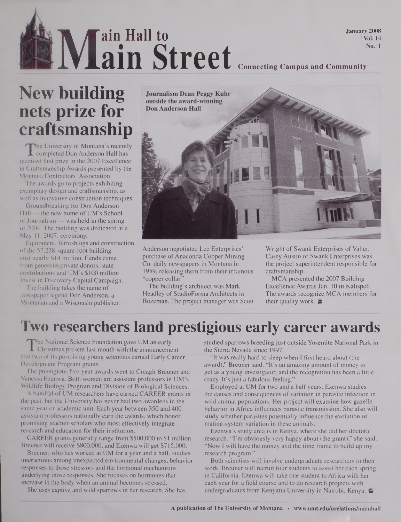### **Connecting Campus and Community At**  $\frac{N}{N}$ **ain Hall to ain Street** January 2008 Vol. 14 No. <sup>1</sup>

# **New building nets prize for craftsmanship**

The University of Montana's recently<br>
completed Don Anderson Hall has<br>
ceived first prize in the 2007 Excellence The University of Montana's recently completed Don Anderson Hall has in Craftsmanship Awards presented by the Montana Contractors' Association.

The awards go to projects exhibiting exemplary design and craftsmanship, as well as innovative construction techniques.

Groundbreaking for Don Anderson Hall — the new home of UM's School of Journalism  $-$  was held in the spring of 2004. The building was dedicated at a May 11,2007, ceremony.

Equipment, furnishings and construction of the 57,238-square-foot building cost nearly \$14 million. Funds came from generous private donors, state contributions and UM's \$100 million Invest in Discovery Capital Campaign.

The building takes the name of newspaper legend Don Anderson, a Montanan and a Wisconsin publisher.



Anderson negotiated Lee Enterprises' purchase of Anaconda Copper Mining Co. daily newspapers in Montana in 1959, releasing them from their infamous "copper collar."

The building's architect was Mark Headley of StudioForma Architects in Bozeman. The project manager was Scott

Wright of Swank Enterprises of Valier. Casey Austin of Swank Enterprises was the project superintendent responsible for craftsmanship.

MCA presented the 2007 Building Excellence Awards Jan. 10 in Kalispell. The awards recognize MCA members for their quality work.

## **Two researchers land prestigious early career awards**

The National Science Foundation gave UM an early<br>
Christmas present last month with the announcement<br>
In two of its promising young scientists earned Early Career he National Science Foundation gave UM an early Christmas present last month with the announcement Development Program grants.

The prestigious five-year awards went to Creagh Breuner and Vanessa Ezenwa. Both women are assistant professors in UM's Wildlife Biology Program and Division of Biological Sciences.

A handful of UM researchers have earned CAREER grants in the past, but the University has never had two awardees in the same year or academic unit. Each year between 350 and 400 assistant professors nationally earn the awards, which honor promising teacher-scholars who most effectively integrate research and education for their institution.

CAREER grants generally range from \$500,000 to \$1 million. Breuner will receive \$800,000, and Ezenwa will get \$715,000.

Breuner, who has worked at UM for a year and a half, studies interactions among unexpected environmental changes, behavior responses to those stressors and the hormonal mechanisms underlying those responses. She focuses on hormones that increase in the body when an animal becomes stressed.

She uses captive and wild sparrows in her research. She has

studied sparrows breeding just outside Yosemite National Park in the Sierra Nevada since 1997.

"It was really hard to sleep when I first heard about (the award)," Breuner said. "It's an amazing amount of money to get as a young investigator, and the recognition has been a little crazy. It's just a fabulous feeling."

Employed at UM for two and a half years, Ezenwa studies the causes and consequences of variation in parasite infection in wild animal populations. Her project will examine how gazelle behavior in Africa influences parasite transmission. She also will study whether parasites potentially influence the evolution of mating-system variation in these animals.

Ezenwa's study area is in Kenya, where she did her doctoral research. 'I'<sup>m</sup> obviously very happy about (the grant)," she said. "Now I will have the money and the time frame to build up my research program."

Both scientists will involve undergraduate researchers in their work. Breuner will recruit four students to assist her each spring in California. Ezenwa will take one student to Africa with her each year for a field course and to do research projects with undergraduates from Kenyatta University in Nairobi, Kenya. &